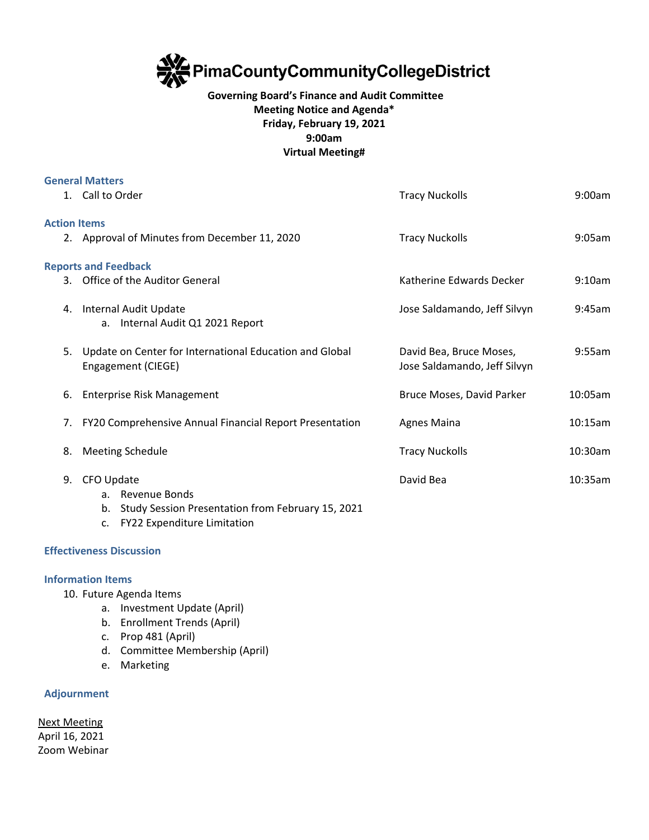

# **Governing Board's Finance and Audit Committee Meeting Notice and Agenda\* Friday, February 19, 2021 9:00am Virtual Meeting#**

|                     | <b>General Matters</b>                                  |                              |         |
|---------------------|---------------------------------------------------------|------------------------------|---------|
|                     | 1. Call to Order                                        | <b>Tracy Nuckolls</b>        | 9:00am  |
| <b>Action Items</b> |                                                         |                              |         |
|                     | 2. Approval of Minutes from December 11, 2020           | <b>Tracy Nuckolls</b>        | 9:05am  |
|                     | <b>Reports and Feedback</b>                             |                              |         |
|                     | 3. Office of the Auditor General                        | Katherine Edwards Decker     | 9:10am  |
|                     | 4. Internal Audit Update                                | Jose Saldamando, Jeff Silvyn | 9:45am  |
|                     | a. Internal Audit Q1 2021 Report                        |                              |         |
| 5.                  | Update on Center for International Education and Global | David Bea, Bruce Moses,      | 9:55am  |
|                     | Engagement (CIEGE)                                      | Jose Saldamando, Jeff Silvyn |         |
| 6.                  | <b>Enterprise Risk Management</b>                       | Bruce Moses, David Parker    | 10:05am |
|                     |                                                         |                              |         |
| 7.                  | FY20 Comprehensive Annual Financial Report Presentation | Agnes Maina                  | 10:15am |
| 8.                  | <b>Meeting Schedule</b>                                 | <b>Tracy Nuckolls</b>        | 10:30am |
| 9.                  | CFO Update                                              | David Bea                    | 10:35am |
|                     | a. Revenue Bonds                                        |                              |         |
|                     | Study Session Presentation from February 15, 2021<br>b. |                              |         |

c. FY22 Expenditure Limitation

## **Effectiveness Discussion**

# **Information Items**

- 10. Future Agenda Items
	- a. Investment Update (April)
	- b. Enrollment Trends (April)
	- c. Prop 481 (April)
	- d. Committee Membership (April)
	- e. Marketing

## **Adjournment**

Next Meeting April 16, 2021 Zoom Webinar